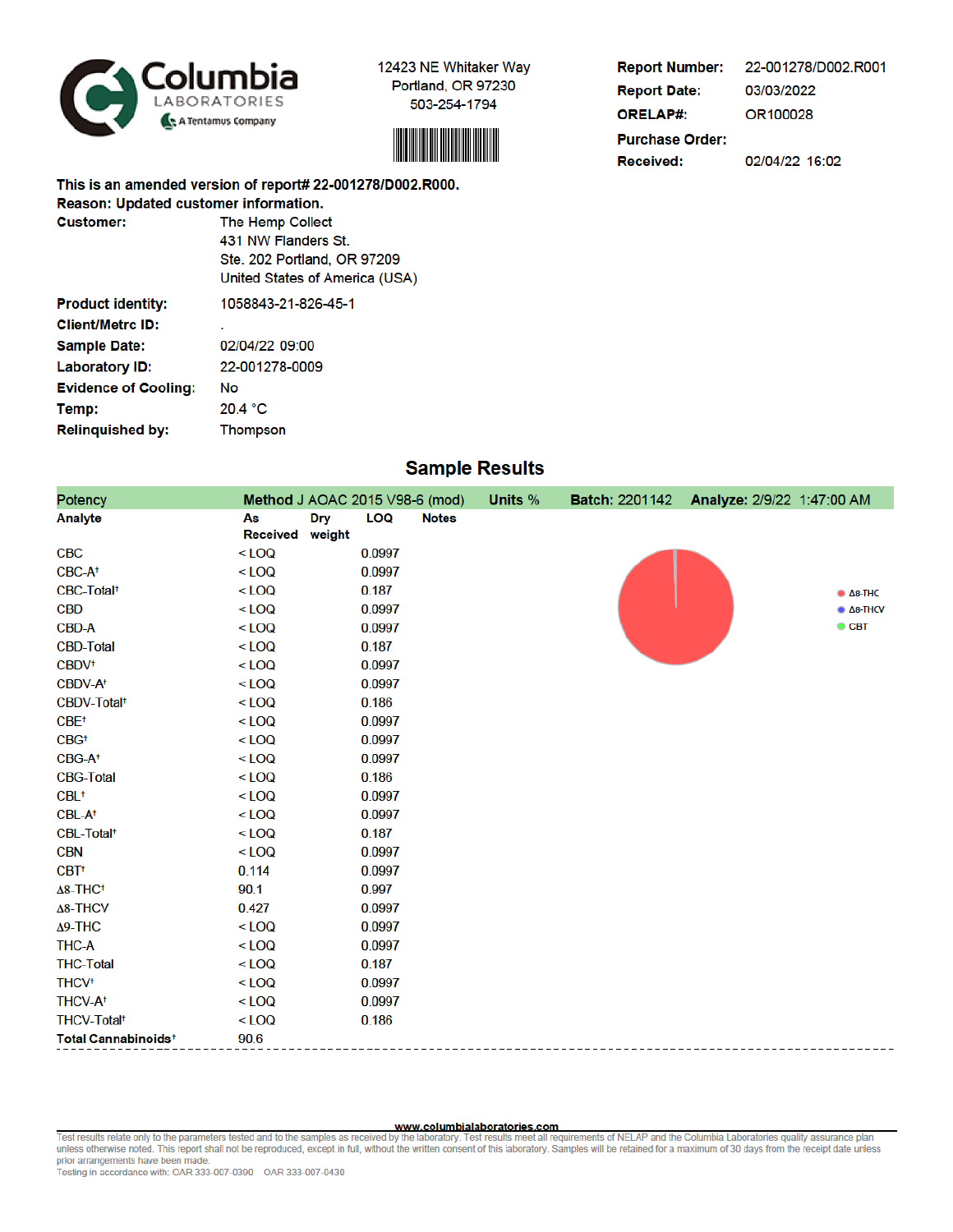



**Report Number:** 22-001278/D002.R001 **Report Date:** 03/03/2022 **ORELAP#:** OR100028 **Purchase Order:** 02/04/22 16:02 **Received:** 

This is an amended version of report# 22-001278/D002.R000. Reason: Updated customer information. **Oughamore** The Hemp Collect

| <b>Customer:</b>            | The Hemp Collect               |
|-----------------------------|--------------------------------|
|                             | 431 NW Flanders St.            |
|                             | Ste. 202 Portland, OR 97209    |
|                             | United States of America (USA) |
| <b>Product identity:</b>    | 1058843-21-826-45-1            |
| <b>Client/Metrc ID:</b>     |                                |
| <b>Sample Date:</b>         | 02/04/22 09:00                 |
| <b>Laboratory ID:</b>       | 22-001278-0009                 |
| <b>Evidence of Cooling:</b> | No                             |
| Temp:                       | 20.4 °C                        |
| <b>Relinquished by:</b>     | <b>Thompson</b>                |

## **Sample Results**

| Potency                         |                                               | Method J AOAC 2015 V98-6 (mod) | <b>Units %</b> | <b>Batch: 2201142</b> | Analyze: 2/9/22 1:47:00 AM |                                |
|---------------------------------|-----------------------------------------------|--------------------------------|----------------|-----------------------|----------------------------|--------------------------------|
| <b>Analyte</b>                  | As<br><b>Dry</b><br><b>Received</b><br>weight | LOQ<br><b>Notes</b>            |                |                       |                            |                                |
| <b>CBC</b>                      | $<$ LOQ                                       | 0.0997                         |                |                       |                            |                                |
| CBC-A <sup>+</sup>              | $<$ LOQ                                       | 0.0997                         |                |                       |                            |                                |
| CBC-Total <sup>+</sup>          | $<$ LOQ                                       | 0.187                          |                |                       |                            | $\bullet$ $\Delta$ 8-THC       |
| <b>CBD</b>                      | $<$ LOQ                                       | 0.0997                         |                |                       |                            | $\triangle$ $\triangle$ 8-THCV |
| <b>CBD-A</b>                    | $<$ LOQ                                       | 0.0997                         |                |                       |                            | $\bullet$ CBT                  |
| <b>CBD-Total</b>                | $<$ LOQ                                       | 0.187                          |                |                       |                            |                                |
| CBDV <sup>+</sup>               | $<$ LOQ                                       | 0.0997                         |                |                       |                            |                                |
| CBDV-A <sup>+</sup>             | $<$ LOQ                                       | 0.0997                         |                |                       |                            |                                |
| CBDV-Total <sup>+</sup>         | $<$ LOQ                                       | 0.186                          |                |                       |                            |                                |
| $CBE$ <sup>+</sup>              | $<$ LOQ                                       | 0.0997                         |                |                       |                            |                                |
| CBG <sup>†</sup>                | $<$ LOQ                                       | 0.0997                         |                |                       |                            |                                |
| CBG-A <sup>+</sup>              | $<$ LOQ                                       | 0.0997                         |                |                       |                            |                                |
| <b>CBG-Total</b>                | $<$ LOQ                                       | 0.186                          |                |                       |                            |                                |
| $CBL$ <sup>+</sup>              | $<$ LOQ                                       | 0.0997                         |                |                       |                            |                                |
| CBL-A <sup>+</sup>              | $<$ LOQ                                       | 0.0997                         |                |                       |                            |                                |
| CBL-Total <sup>+</sup>          | $<$ LOQ                                       | 0.187                          |                |                       |                            |                                |
| <b>CBN</b>                      | $<$ LOQ                                       | 0.0997                         |                |                       |                            |                                |
| CBT <sup>+</sup>                | 0.114                                         | 0.0997                         |                |                       |                            |                                |
| $\Delta$ 8-THC <sup>+</sup>     | 90.1                                          | 0.997                          |                |                       |                            |                                |
| $\Delta$ 8-THCV                 | 0.427                                         | 0.0997                         |                |                       |                            |                                |
| $\Delta$ 9-THC                  | $<$ LOQ                                       | 0.0997                         |                |                       |                            |                                |
| <b>THC-A</b>                    | $<$ LOQ                                       | 0.0997                         |                |                       |                            |                                |
| <b>THC-Total</b>                | $<$ LOQ                                       | 0.187                          |                |                       |                            |                                |
| <b>THCV<sup>+</sup></b>         | $<$ LOQ                                       | 0.0997                         |                |                       |                            |                                |
| THCV-A <sup>+</sup>             | $<$ LOQ                                       | 0.0997                         |                |                       |                            |                                |
| <b>THCV-Total<sup>+</sup></b>   | $<$ LOQ                                       | 0.186                          |                |                       |                            |                                |
| Total Cannabinoids <sup>+</sup> | 90.6                                          |                                |                |                       |                            |                                |

www.columbialaboratories.com<br>Test results relate only to the parameters tested and to the samples as received by the laboratory. Test results meet all requirements of NELAP and the Columbia Laboratories quality assurance p prior arrangements have been made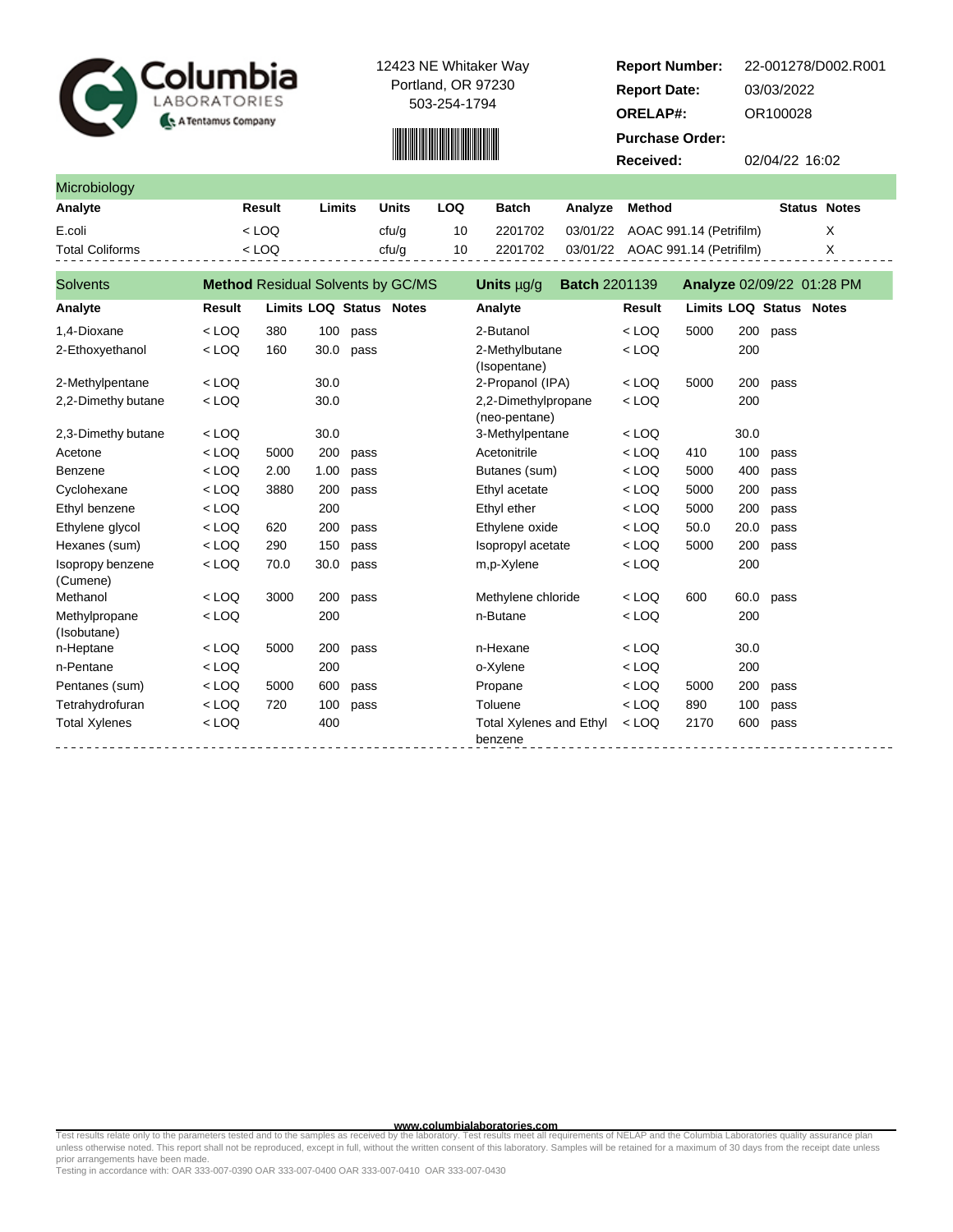



| <b>Report Number:</b>  | 22-001278/D002.R001 |
|------------------------|---------------------|
| <b>Report Date:</b>    | 03/03/2022          |
| <b>ORELAP#:</b>        | OR100028            |
| <b>Purchase Order:</b> |                     |
| Received:              | 02/04/22 16:02      |

| <b>Microbiology</b>    |        |        |       |     |         |         |                                  |                     |   |
|------------------------|--------|--------|-------|-----|---------|---------|----------------------------------|---------------------|---|
| Analyte                | Result | Limits | Units | LOQ | Batch   | Analvze | Method                           | <b>Status Notes</b> |   |
| E.coli                 | < LOQ  |        | cfu/g | 10  | 2201702 |         | 03/01/22 AOAC 991.14 (Petrifilm) |                     | X |
| <b>Total Coliforms</b> | < LOO  |        | cfu/a | 10  | 2201702 |         | 03/01/22 AOAC 991.14 (Petrifilm) |                     |   |

| <b>Solvents</b>              | <b>Method Residual Solvents by GC/MS</b> |      |      |                                | Units $\mu q/q$                           | <b>Batch 2201139</b> |         |                                |      |      | Analyze 02/09/22 01:28 PM |
|------------------------------|------------------------------------------|------|------|--------------------------------|-------------------------------------------|----------------------|---------|--------------------------------|------|------|---------------------------|
| Analyte                      | <b>Result</b>                            |      |      | <b>Limits LOQ Status Notes</b> | Analyte                                   |                      | Result  | <b>Limits LOQ Status Notes</b> |      |      |                           |
| 1,4-Dioxane                  | $<$ LOQ                                  | 380  | 100  | pass                           | 2-Butanol                                 |                      | $<$ LOQ | 5000                           | 200  | pass |                           |
| 2-Ethoxyethanol              | $<$ LOQ                                  | 160  | 30.0 | pass                           | 2-Methylbutane<br>(Isopentane)            |                      | $<$ LOQ |                                | 200  |      |                           |
| 2-Methylpentane              | $<$ LOQ                                  |      | 30.0 |                                | 2-Propanol (IPA)                          |                      | $<$ LOQ | 5000                           | 200  | pass |                           |
| 2,2-Dimethy butane           | $<$ LOQ                                  |      | 30.0 |                                | 2,2-Dimethylpropane<br>(neo-pentane)      |                      | $<$ LOQ |                                | 200  |      |                           |
| 2,3-Dimethy butane           | $<$ LOQ                                  |      | 30.0 |                                | 3-Methylpentane                           |                      | $<$ LOQ |                                | 30.0 |      |                           |
| Acetone                      | $<$ LOQ                                  | 5000 | 200  | pass                           | Acetonitrile                              |                      | $<$ LOQ | 410                            | 100  | pass |                           |
| Benzene                      | $<$ LOQ                                  | 2.00 | 1.00 | pass                           | Butanes (sum)                             |                      | $<$ LOQ | 5000                           | 400  | pass |                           |
| Cyclohexane                  | $<$ LOQ                                  | 3880 | 200  | pass                           | Ethyl acetate                             |                      | $<$ LOQ | 5000                           | 200  | pass |                           |
| Ethyl benzene                | $<$ LOQ                                  |      | 200  |                                | Ethyl ether                               |                      | $<$ LOQ | 5000                           | 200  | pass |                           |
| Ethylene glycol              | $<$ LOQ                                  | 620  | 200  | pass                           | Ethylene oxide                            |                      | $<$ LOQ | 50.0                           | 20.0 | pass |                           |
| Hexanes (sum)                | $<$ LOQ                                  | 290  | 150  | pass                           | Isopropyl acetate                         |                      | $<$ LOQ | 5000                           | 200  | pass |                           |
| Isopropy benzene<br>(Cumene) | $<$ LOQ                                  | 70.0 | 30.0 | pass                           | m,p-Xylene                                |                      | $<$ LOQ |                                | 200  |      |                           |
| Methanol                     | $<$ LOQ                                  | 3000 | 200  | pass                           | Methylene chloride                        |                      | $<$ LOQ | 600                            | 60.0 | pass |                           |
| Methylpropane<br>(Isobutane) | $<$ LOQ                                  |      | 200  |                                | n-Butane                                  |                      | $<$ LOQ |                                | 200  |      |                           |
| n-Heptane                    | $<$ LOQ                                  | 5000 | 200  | pass                           | n-Hexane                                  |                      | $<$ LOQ |                                | 30.0 |      |                           |
| n-Pentane                    | $<$ LOQ                                  |      | 200  |                                | o-Xylene                                  |                      | $<$ LOQ |                                | 200  |      |                           |
| Pentanes (sum)               | $<$ LOQ                                  | 5000 | 600  | pass                           | Propane                                   |                      | $<$ LOQ | 5000                           | 200  | pass |                           |
| Tetrahydrofuran              | $<$ LOQ                                  | 720  | 100  | pass                           | Toluene                                   |                      | $<$ LOQ | 890                            | 100  | pass |                           |
| <b>Total Xylenes</b>         | $<$ LOQ                                  |      | 400  |                                | <b>Total Xylenes and Ethyl</b><br>benzene |                      | $<$ LOQ | 2170                           | 600  | pass |                           |

www.columbialaboratories.com<br>unless otherwise noted. This report shall not be reproduced, except in full, without the written consent of this laboratory. Samples will be retained for a maximum of 30 days from the receipt d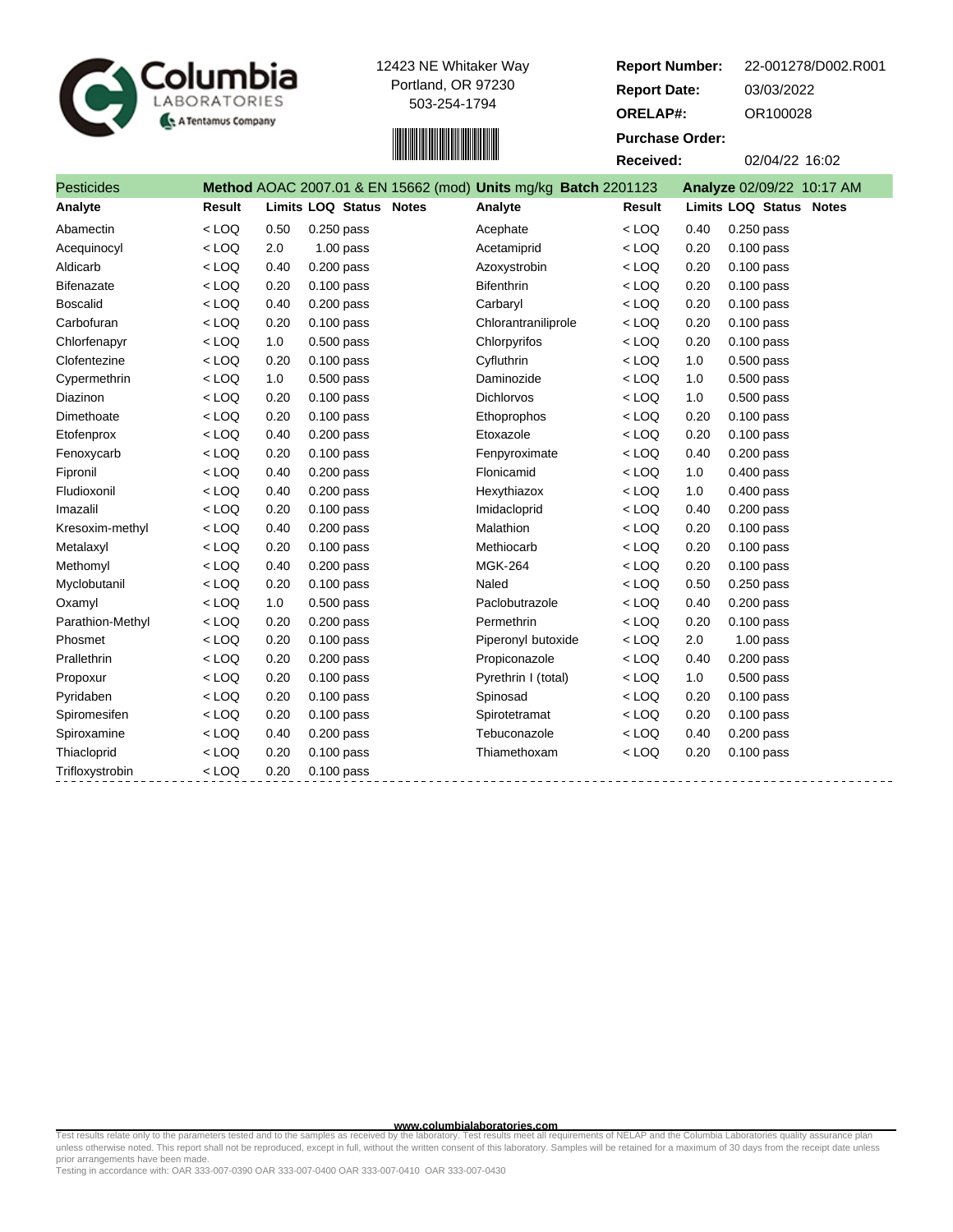



| <b>Report Number:</b>  | 22-001278/D002.R001       |  |  |  |  |  |  |  |
|------------------------|---------------------------|--|--|--|--|--|--|--|
| <b>Report Date:</b>    | 03/03/2022                |  |  |  |  |  |  |  |
| <b>ORELAP#:</b>        | OR100028                  |  |  |  |  |  |  |  |
| <b>Purchase Order:</b> |                           |  |  |  |  |  |  |  |
| Received:              | 02/04/22 16:02            |  |  |  |  |  |  |  |
| 201123 ·               | Analyze 02/09/22 10:17 AM |  |  |  |  |  |  |  |
|                        |                           |  |  |  |  |  |  |  |

| <b>Pesticides</b> |         |      |                         | Method AOAC 2007.01 & EN 15662 (mod) Units mg/kg Batch 2201123 |         |      | Analyze 02/09/22 10:17 AM |
|-------------------|---------|------|-------------------------|----------------------------------------------------------------|---------|------|---------------------------|
| Analyte           | Result  |      | Limits LOQ Status Notes | Analyte                                                        | Result  |      | Limits LOQ Status Notes   |
| Abamectin         | $<$ LOQ | 0.50 | $0.250$ pass            | Acephate                                                       | $<$ LOQ | 0.40 | 0.250 pass                |
| Acequinocyl       | $<$ LOQ | 2.0  | $1.00$ pass             | Acetamiprid                                                    | $<$ LOQ | 0.20 | $0.100$ pass              |
| Aldicarb          | $<$ LOQ | 0.40 | 0.200 pass              | Azoxystrobin                                                   | $<$ LOQ | 0.20 | 0.100 pass                |
| <b>Bifenazate</b> | $<$ LOQ | 0.20 | $0.100$ pass            | <b>Bifenthrin</b>                                              | $<$ LOQ | 0.20 | $0.100$ pass              |
| <b>Boscalid</b>   | $<$ LOQ | 0.40 | $0.200$ pass            | Carbaryl                                                       | $<$ LOQ | 0.20 | 0.100 pass                |
| Carbofuran        | $<$ LOQ | 0.20 | $0.100$ pass            | Chlorantraniliprole                                            | $<$ LOQ | 0.20 | $0.100$ pass              |
| Chlorfenapyr      | $<$ LOQ | 1.0  | $0.500$ pass            | Chlorpyrifos                                                   | $<$ LOQ | 0.20 | $0.100$ pass              |
| Clofentezine      | $<$ LOQ | 0.20 | $0.100$ pass            | Cyfluthrin                                                     | $<$ LOQ | 1.0  | $0.500$ pass              |
| Cypermethrin      | $<$ LOQ | 1.0  | $0.500$ pass            | Daminozide                                                     | $<$ LOQ | 1.0  | $0.500$ pass              |
| Diazinon          | $<$ LOQ | 0.20 | $0.100$ pass            | <b>Dichlorvos</b>                                              | $<$ LOQ | 1.0  | $0.500$ pass              |
| Dimethoate        | $<$ LOQ | 0.20 | $0.100$ pass            | Ethoprophos                                                    | $<$ LOQ | 0.20 | 0.100 pass                |
| Etofenprox        | $<$ LOQ | 0.40 | $0.200$ pass            | Etoxazole                                                      | $<$ LOQ | 0.20 | $0.100$ pass              |
| Fenoxycarb        | $<$ LOQ | 0.20 | $0.100$ pass            | Fenpyroximate                                                  | $<$ LOQ | 0.40 | $0.200$ pass              |
| Fipronil          | $<$ LOQ | 0.40 | 0.200 pass              | Flonicamid                                                     | $<$ LOQ | 1.0  | $0.400$ pass              |
| Fludioxonil       | $<$ LOQ | 0.40 | 0.200 pass              | Hexythiazox                                                    | $<$ LOQ | 1.0  | $0.400$ pass              |
| Imazalil          | $<$ LOQ | 0.20 | 0.100 pass              | Imidacloprid                                                   | $<$ LOQ | 0.40 | $0.200$ pass              |
| Kresoxim-methyl   | $<$ LOQ | 0.40 | $0.200$ pass            | Malathion                                                      | $<$ LOQ | 0.20 | $0.100$ pass              |
| Metalaxyl         | $<$ LOQ | 0.20 | $0.100$ pass            | Methiocarb                                                     | $<$ LOQ | 0.20 | $0.100$ pass              |
| Methomyl          | $<$ LOQ | 0.40 | $0.200$ pass            | <b>MGK-264</b>                                                 | $<$ LOQ | 0.20 | $0.100$ pass              |
| Myclobutanil      | $<$ LOQ | 0.20 | $0.100$ pass            | Naled                                                          | $<$ LOQ | 0.50 | $0.250$ pass              |
| Oxamyl            | $<$ LOQ | 1.0  | $0.500$ pass            | Paclobutrazole                                                 | $<$ LOQ | 0.40 | $0.200$ pass              |
| Parathion-Methyl  | $<$ LOQ | 0.20 | $0.200$ pass            | Permethrin                                                     | $<$ LOQ | 0.20 | $0.100$ pass              |
| Phosmet           | $<$ LOQ | 0.20 | $0.100$ pass            | Piperonyl butoxide                                             | $<$ LOQ | 2.0  | $1.00$ pass               |
| Prallethrin       | $<$ LOQ | 0.20 | $0.200$ pass            | Propiconazole                                                  | $<$ LOQ | 0.40 | $0.200$ pass              |
| Propoxur          | $<$ LOQ | 0.20 | $0.100$ pass            | Pyrethrin I (total)                                            | $<$ LOQ | 1.0  | $0.500$ pass              |
| Pyridaben         | $<$ LOQ | 0.20 | $0.100$ pass            | Spinosad                                                       | $<$ LOQ | 0.20 | $0.100$ pass              |
| Spiromesifen      | $<$ LOQ | 0.20 | $0.100$ pass            | Spirotetramat                                                  | $<$ LOQ | 0.20 | $0.100$ pass              |
| Spiroxamine       | $<$ LOQ | 0.40 | $0.200$ pass            | Tebuconazole                                                   | $<$ LOQ | 0.40 | $0.200$ pass              |
| Thiacloprid       | $<$ LOQ | 0.20 | $0.100$ pass            | Thiamethoxam                                                   | $<$ LOQ | 0.20 | $0.100$ pass              |
| Trifloxystrobin   | $<$ LOQ | 0.20 | $0.100$ pass            |                                                                |         |      |                           |

www.columbialaboratories.com<br>unless otherwise noted. This report shall not be reproduced, except in full, without the written consent of this laboratory. Samples will be retained for a maximum of 30 days from the receipt d